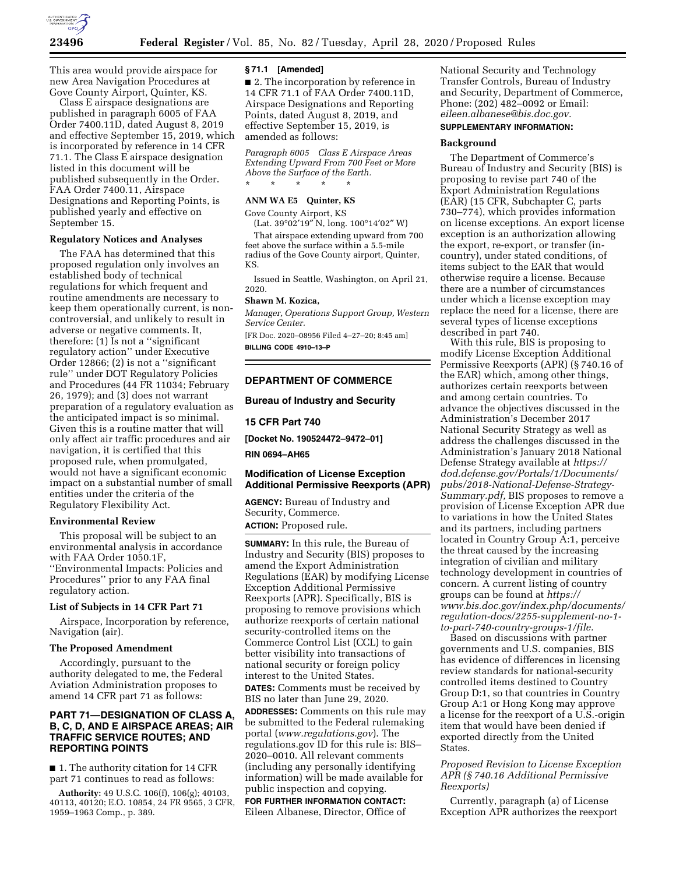

This area would provide airspace for new Area Navigation Procedures at Gove County Airport, Quinter, KS.

Class E airspace designations are published in paragraph 6005 of FAA Order 7400.11D, dated August 8, 2019 and effective September 15, 2019, which is incorporated by reference in 14 CFR 71.1. The Class E airspace designation listed in this document will be published subsequently in the Order. FAA Order 7400.11, Airspace Designations and Reporting Points, is published yearly and effective on September 15.

#### **Regulatory Notices and Analyses**

The FAA has determined that this proposed regulation only involves an established body of technical regulations for which frequent and routine amendments are necessary to keep them operationally current, is noncontroversial, and unlikely to result in adverse or negative comments. It, therefore: (1) Is not a ''significant regulatory action'' under Executive Order 12866; (2) is not a ''significant rule'' under DOT Regulatory Policies and Procedures (44 FR 11034; February 26, 1979); and (3) does not warrant preparation of a regulatory evaluation as the anticipated impact is so minimal. Given this is a routine matter that will only affect air traffic procedures and air navigation, it is certified that this proposed rule, when promulgated, would not have a significant economic impact on a substantial number of small entities under the criteria of the Regulatory Flexibility Act.

#### **Environmental Review**

This proposal will be subject to an environmental analysis in accordance with FAA Order 1050.1F, ''Environmental Impacts: Policies and Procedures'' prior to any FAA final regulatory action.

# **List of Subjects in 14 CFR Part 71**

Airspace, Incorporation by reference, Navigation (air).

#### **The Proposed Amendment**

Accordingly, pursuant to the authority delegated to me, the Federal Aviation Administration proposes to amend 14 CFR part 71 as follows:

# **PART 71—DESIGNATION OF CLASS A, B, C, D, AND E AIRSPACE AREAS; AIR TRAFFIC SERVICE ROUTES; AND REPORTING POINTS**

■ 1. The authority citation for 14 CFR part 71 continues to read as follows:

**Authority:** 49 U.S.C. 106(f), 106(g); 40103, 40113, 40120; E.O. 10854, 24 FR 9565, 3 CFR, 1959–1963 Comp., p. 389.

#### **§ 71.1 [Amended]**

■ 2. The incorporation by reference in 14 CFR 71.1 of FAA Order 7400.11D, Airspace Designations and Reporting Points, dated August 8, 2019, and effective September 15, 2019, is amended as follows:

*Paragraph 6005 Class E Airspace Areas Extending Upward From 700 Feet or More Above the Surface of the Earth.*  \* \* \* \* \*

# **ANM WA E5 Quinter, KS**

Gove County Airport, KS (Lat. 39°02′19″ N, long. 100°14′02″ W)

That airspace extending upward from 700 feet above the surface within a 5.5-mile radius of the Gove County airport, Quinter, KS.

Issued in Seattle, Washington, on April 21, 2020.

### **Shawn M. Kozica,**

*Manager, Operations Support Group, Western Service Center.* 

[FR Doc. 2020–08956 Filed 4–27–20; 8:45 am] **BILLING CODE 4910–13–P** 

## **DEPARTMENT OF COMMERCE**

### **Bureau of Industry and Security**

#### **15 CFR Part 740**

**[Docket No. 190524472–9472–01]** 

**RIN 0694–AH65** 

# **Modification of License Exception Additional Permissive Reexports (APR)**

**AGENCY:** Bureau of Industry and Security, Commerce. **ACTION:** Proposed rule.

**SUMMARY:** In this rule, the Bureau of Industry and Security (BIS) proposes to amend the Export Administration Regulations (EAR) by modifying License Exception Additional Permissive Reexports (APR). Specifically, BIS is proposing to remove provisions which authorize reexports of certain national security-controlled items on the Commerce Control List (CCL) to gain better visibility into transactions of national security or foreign policy interest to the United States. **DATES:** Comments must be received by BIS no later than June 29, 2020. **ADDRESSES:** Comments on this rule may be submitted to the Federal rulemaking portal (*[www.regulations.gov](http://www.regulations.gov)*). The regulations.gov ID for this rule is: BIS– 2020–0010. All relevant comments (including any personally identifying information) will be made available for public inspection and copying. **FOR FURTHER INFORMATION CONTACT:**  Eileen Albanese, Director, Office of

National Security and Technology Transfer Controls, Bureau of Industry and Security, Department of Commerce, Phone: (202) 482–0092 or Email: *[eileen.albanese@bis.doc.gov.](mailto:eileen.albanese@bis.doc.gov)* 

# **SUPPLEMENTARY INFORMATION:**

# **Background**

The Department of Commerce's Bureau of Industry and Security (BIS) is proposing to revise part 740 of the Export Administration Regulations (EAR) (15 CFR, Subchapter C, parts 730–774), which provides information on license exceptions. An export license exception is an authorization allowing the export, re-export, or transfer (incountry), under stated conditions, of items subject to the EAR that would otherwise require a license. Because there are a number of circumstances under which a license exception may replace the need for a license, there are several types of license exceptions described in part 740.

With this rule, BIS is proposing to modify License Exception Additional Permissive Reexports (APR) (§ 740.16 of the EAR) which, among other things, authorizes certain reexports between and among certain countries. To advance the objectives discussed in the Administration's December 2017 National Security Strategy as well as address the challenges discussed in the Administration's January 2018 National Defense Strategy available at *[https://](https://dod.defense.gov/Portals/1/Documents/pubs/2018-National-Defense-Strategy-Summary.pdf) [dod.defense.gov/Portals/1/Documents/](https://dod.defense.gov/Portals/1/Documents/pubs/2018-National-Defense-Strategy-Summary.pdf) [pubs/2018-National-Defense-Strategy-](https://dod.defense.gov/Portals/1/Documents/pubs/2018-National-Defense-Strategy-Summary.pdf)[Summary.pdf,](https://dod.defense.gov/Portals/1/Documents/pubs/2018-National-Defense-Strategy-Summary.pdf)* BIS proposes to remove a provision of License Exception APR due to variations in how the United States and its partners, including partners located in Country Group A:1, perceive the threat caused by the increasing integration of civilian and military technology development in countries of concern. A current listing of country groups can be found at *[https://](https://www.bis.doc.gov/index.php/documents/regulation-docs/2255-supplement-no-1-to-part-740-country-groups-1/file) [www.bis.doc.gov/index.php/documents/](https://www.bis.doc.gov/index.php/documents/regulation-docs/2255-supplement-no-1-to-part-740-country-groups-1/file) [regulation-docs/2255-supplement-no-1](https://www.bis.doc.gov/index.php/documents/regulation-docs/2255-supplement-no-1-to-part-740-country-groups-1/file) [to-part-740-country-groups-1/file.](https://www.bis.doc.gov/index.php/documents/regulation-docs/2255-supplement-no-1-to-part-740-country-groups-1/file)* 

Based on discussions with partner governments and U.S. companies, BIS has evidence of differences in licensing review standards for national-security controlled items destined to Country Group D:1, so that countries in Country Group A:1 or Hong Kong may approve a license for the reexport of a U.S.-origin item that would have been denied if exported directly from the United States.

### *Proposed Revision to License Exception APR (§ 740.16 Additional Permissive Reexports)*

Currently, paragraph (a) of License Exception APR authorizes the reexport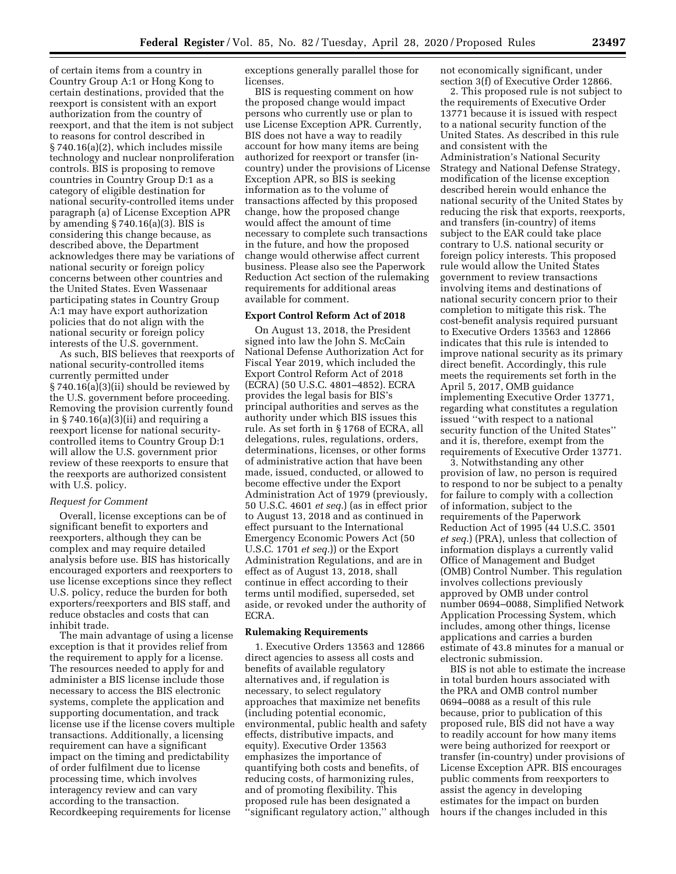of certain items from a country in Country Group A:1 or Hong Kong to certain destinations, provided that the reexport is consistent with an export authorization from the country of reexport, and that the item is not subject to reasons for control described in § 740.16(a)(2), which includes missile technology and nuclear nonproliferation controls. BIS is proposing to remove countries in Country Group D:1 as a category of eligible destination for national security-controlled items under paragraph (a) of License Exception APR by amending § 740.16(a)(3). BIS is considering this change because, as described above, the Department acknowledges there may be variations of national security or foreign policy concerns between other countries and the United States. Even Wassenaar participating states in Country Group A:1 may have export authorization policies that do not align with the national security or foreign policy interests of the U.S. government.

As such, BIS believes that reexports of national security-controlled items currently permitted under § 740.16(a)(3)(ii) should be reviewed by the U.S. government before proceeding. Removing the provision currently found in  $\S 740.16(a)(3)(ii)$  and requiring a reexport license for national securitycontrolled items to Country Group D:1 will allow the U.S. government prior review of these reexports to ensure that the reexports are authorized consistent with U.S. policy.

### *Request for Comment*

Overall, license exceptions can be of significant benefit to exporters and reexporters, although they can be complex and may require detailed analysis before use. BIS has historically encouraged exporters and reexporters to use license exceptions since they reflect U.S. policy, reduce the burden for both exporters/reexporters and BIS staff, and reduce obstacles and costs that can inhibit trade.

The main advantage of using a license exception is that it provides relief from the requirement to apply for a license. The resources needed to apply for and administer a BIS license include those necessary to access the BIS electronic systems, complete the application and supporting documentation, and track license use if the license covers multiple transactions. Additionally, a licensing requirement can have a significant impact on the timing and predictability of order fulfilment due to license processing time, which involves interagency review and can vary according to the transaction. Recordkeeping requirements for license

exceptions generally parallel those for licenses.

BIS is requesting comment on how the proposed change would impact persons who currently use or plan to use License Exception APR. Currently, BIS does not have a way to readily account for how many items are being authorized for reexport or transfer (incountry) under the provisions of License Exception APR, so BIS is seeking information as to the volume of transactions affected by this proposed change, how the proposed change would affect the amount of time necessary to complete such transactions in the future, and how the proposed change would otherwise affect current business. Please also see the Paperwork Reduction Act section of the rulemaking requirements for additional areas available for comment.

### **Export Control Reform Act of 2018**

On August 13, 2018, the President signed into law the John S. McCain National Defense Authorization Act for Fiscal Year 2019, which included the Export Control Reform Act of 2018 (ECRA) (50 U.S.C. 4801–4852). ECRA provides the legal basis for BIS's principal authorities and serves as the authority under which BIS issues this rule. As set forth in § 1768 of ECRA, all delegations, rules, regulations, orders, determinations, licenses, or other forms of administrative action that have been made, issued, conducted, or allowed to become effective under the Export Administration Act of 1979 (previously, 50 U.S.C. 4601 *et seq.*) (as in effect prior to August 13, 2018 and as continued in effect pursuant to the International Emergency Economic Powers Act (50 U.S.C. 1701 *et seq.*)) or the Export Administration Regulations, and are in effect as of August 13, 2018, shall continue in effect according to their terms until modified, superseded, set aside, or revoked under the authority of ECRA.

# **Rulemaking Requirements**

1. Executive Orders 13563 and 12866 direct agencies to assess all costs and benefits of available regulatory alternatives and, if regulation is necessary, to select regulatory approaches that maximize net benefits (including potential economic, environmental, public health and safety effects, distributive impacts, and equity). Executive Order 13563 emphasizes the importance of quantifying both costs and benefits, of reducing costs, of harmonizing rules, and of promoting flexibility. This proposed rule has been designated a ''significant regulatory action,'' although not economically significant, under section 3(f) of Executive Order 12866.

2. This proposed rule is not subject to the requirements of Executive Order 13771 because it is issued with respect to a national security function of the United States. As described in this rule and consistent with the Administration's National Security Strategy and National Defense Strategy, modification of the license exception described herein would enhance the national security of the United States by reducing the risk that exports, reexports, and transfers (in-country) of items subject to the EAR could take place contrary to U.S. national security or foreign policy interests. This proposed rule would allow the United States government to review transactions involving items and destinations of national security concern prior to their completion to mitigate this risk. The cost-benefit analysis required pursuant to Executive Orders 13563 and 12866 indicates that this rule is intended to improve national security as its primary direct benefit. Accordingly, this rule meets the requirements set forth in the April 5, 2017, OMB guidance implementing Executive Order 13771, regarding what constitutes a regulation issued ''with respect to a national security function of the United States'' and it is, therefore, exempt from the requirements of Executive Order 13771.

3. Notwithstanding any other provision of law, no person is required to respond to nor be subject to a penalty for failure to comply with a collection of information, subject to the requirements of the Paperwork Reduction Act of 1995 (44 U.S.C. 3501 *et seq.*) (PRA), unless that collection of information displays a currently valid Office of Management and Budget (OMB) Control Number. This regulation involves collections previously approved by OMB under control number 0694–0088, Simplified Network Application Processing System, which includes, among other things, license applications and carries a burden estimate of 43.8 minutes for a manual or electronic submission.

BIS is not able to estimate the increase in total burden hours associated with the PRA and OMB control number 0694–0088 as a result of this rule because, prior to publication of this proposed rule, BIS did not have a way to readily account for how many items were being authorized for reexport or transfer (in-country) under provisions of License Exception APR. BIS encourages public comments from reexporters to assist the agency in developing estimates for the impact on burden hours if the changes included in this